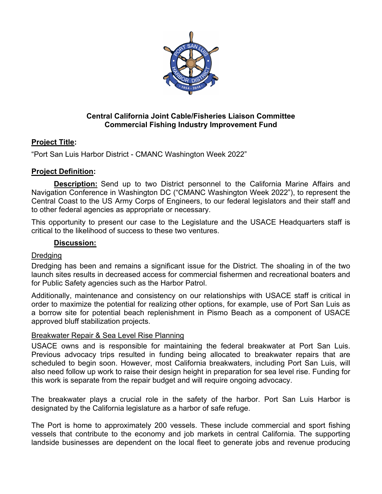

### **Central California Joint Cable/Fisheries Liaison Committee Commercial Fishing Industry Improvement Fund**

# **Project Title:**

"Port San Luis Harbor District - CMANC Washington Week 2022"

# **Project Definition:**

 **Description:** Send up to two District personnel to the California Marine Affairs and Navigation Conference in Washington DC ("CMANC Washington Week 2022"), to represent the Central Coast to the US Army Corps of Engineers, to our federal legislators and their staff and to other federal agencies as appropriate or necessary.

This opportunity to present our case to the Legislature and the USACE Headquarters staff is critical to the likelihood of success to these two ventures.

### **Discussion:**

# Dredging

Dredging has been and remains a significant issue for the District. The shoaling in of the two launch sites results in decreased access for commercial fishermen and recreational boaters and for Public Safety agencies such as the Harbor Patrol.

Additionally, maintenance and consistency on our relationships with USACE staff is critical in order to maximize the potential for realizing other options, for example, use of Port San Luis as a borrow site for potential beach replenishment in Pismo Beach as a component of USACE approved bluff stabilization projects.

#### Breakwater Repair & Sea Level Rise Planning

USACE owns and is responsible for maintaining the federal breakwater at Port San Luis. Previous advocacy trips resulted in funding being allocated to breakwater repairs that are scheduled to begin soon. However, most California breakwaters, including Port San Luis, will also need follow up work to raise their design height in preparation for sea level rise. Funding for this work is separate from the repair budget and will require ongoing advocacy.

The breakwater plays a crucial role in the safety of the harbor. Port San Luis Harbor is designated by the California legislature as a harbor of safe refuge.

The Port is home to approximately 200 vessels. These include commercial and sport fishing vessels that contribute to the economy and job markets in central California. The supporting landside businesses are dependent on the local fleet to generate jobs and revenue producing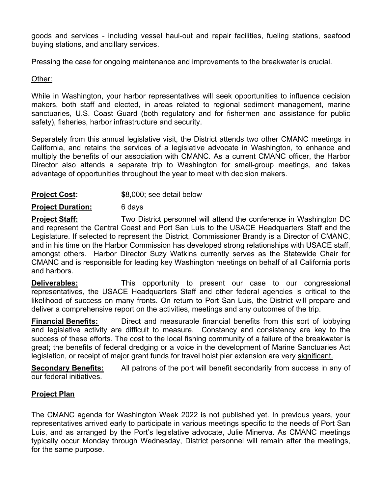goods and services - including vessel haul-out and repair facilities, fueling stations, seafood buying stations, and ancillary services.

Pressing the case for ongoing maintenance and improvements to the breakwater is crucial.

### Other:

While in Washington, your harbor representatives will seek opportunities to influence decision makers, both staff and elected, in areas related to regional sediment management, marine sanctuaries, U.S. Coast Guard (both regulatory and for fishermen and assistance for public safety), fisheries, harbor infrastructure and security.

Separately from this annual legislative visit, the District attends two other CMANC meetings in California, and retains the services of a legislative advocate in Washington, to enhance and multiply the benefits of our association with CMANC. As a current CMANC officer, the Harbor Director also attends a separate trip to Washington for small-group meetings, and takes advantage of opportunities throughout the year to meet with decision makers.

### **Project Cost: \$**8,000; see detail below

#### **Project Duration:** 6 days

**Project Staff:** Two District personnel will attend the conference in Washington DC and represent the Central Coast and Port San Luis to the USACE Headquarters Staff and the Legislature. If selected to represent the District, Commissioner Brandy is a Director of CMANC, and in his time on the Harbor Commission has developed strong relationships with USACE staff, amongst others. Harbor Director Suzy Watkins currently serves as the Statewide Chair for CMANC and is responsible for leading key Washington meetings on behalf of all California ports and harbors.

**Deliverables:** This opportunity to present our case to our congressional representatives, the USACE Headquarters Staff and other federal agencies is critical to the likelihood of success on many fronts. On return to Port San Luis, the District will prepare and deliver a comprehensive report on the activities, meetings and any outcomes of the trip.

**Financial Benefits:** Direct and measurable financial benefits from this sort of lobbying and legislative activity are difficult to measure.Constancy and consistency are key to the success of these efforts. The cost to the local fishing community of a failure of the breakwater is great; the benefits of federal dredging or a voice in the development of Marine Sanctuaries Act legislation, or receipt of major grant funds for travel hoist pier extension are very significant.

**Secondary Benefits:** All patrons of the port will benefit secondarily from success in any of our federal initiatives.

# **Project Plan**

The CMANC agenda for Washington Week 2022 is not published yet. In previous years, your representatives arrived early to participate in various meetings specific to the needs of Port San Luis, and as arranged by the Port's legislative advocate, Julie Minerva. As CMANC meetings typically occur Monday through Wednesday, District personnel will remain after the meetings, for the same purpose.